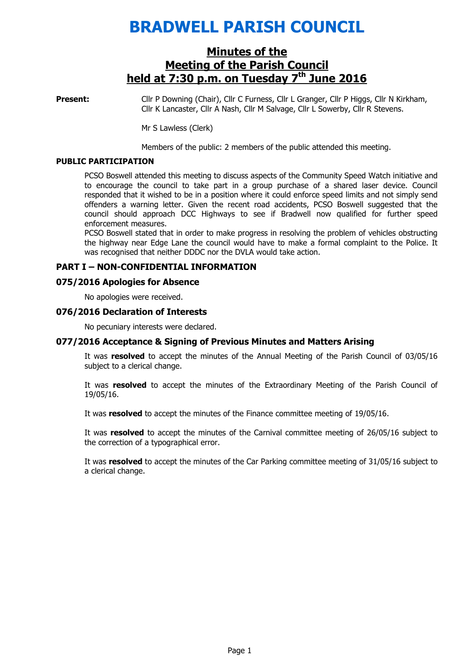# BRADWELL PARISH COUNCIL

# Minutes of the Meeting of the Parish Council held at  $7:30$  p.m. on Tuesday  $7<sup>th</sup>$  June 2016

Present: Cllr P Downing (Chair), Cllr C Furness, Cllr L Granger, Cllr P Higgs, Cllr N Kirkham, Cllr K Lancaster, Cllr A Nash, Cllr M Salvage, Cllr L Sowerby, Cllr R Stevens.

Mr S Lawless (Clerk)

Members of the public: 2 members of the public attended this meeting.

#### PUBLIC PARTICIPATION

PCSO Boswell attended this meeting to discuss aspects of the Community Speed Watch initiative and to encourage the council to take part in a group purchase of a shared laser device. Council responded that it wished to be in a position where it could enforce speed limits and not simply send offenders a warning letter. Given the recent road accidents, PCSO Boswell suggested that the council should approach DCC Highways to see if Bradwell now qualified for further speed enforcement measures.

PCSO Boswell stated that in order to make progress in resolving the problem of vehicles obstructing the highway near Edge Lane the council would have to make a formal complaint to the Police. It was recognised that neither DDDC nor the DVLA would take action.

#### PART I – NON-CONFIDENTIAL INFORMATION

#### 075/2016 Apologies for Absence

No apologies were received.

#### 076/2016 Declaration of Interests

No pecuniary interests were declared.

#### 077/2016 Acceptance & Signing of Previous Minutes and Matters Arising

It was resolved to accept the minutes of the Annual Meeting of the Parish Council of 03/05/16 subject to a clerical change.

It was resolved to accept the minutes of the Extraordinary Meeting of the Parish Council of 19/05/16.

It was resolved to accept the minutes of the Finance committee meeting of 19/05/16.

It was resolved to accept the minutes of the Carnival committee meeting of 26/05/16 subject to the correction of a typographical error.

It was resolved to accept the minutes of the Car Parking committee meeting of 31/05/16 subject to a clerical change.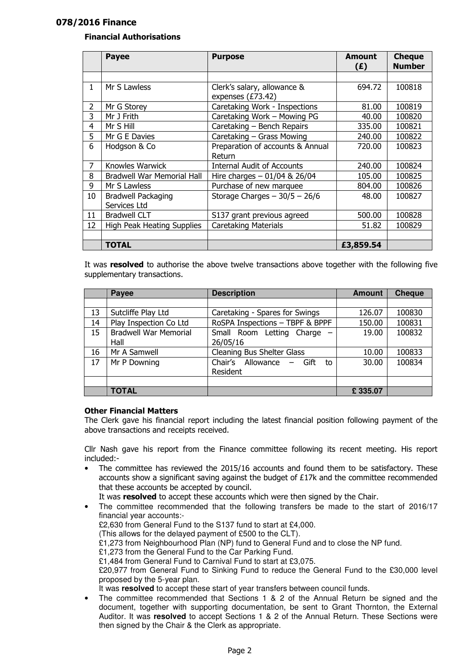## 078/2016 Finance

## Financial Authorisations

|    | <b>Payee</b>                      | <b>Purpose</b>                    | <b>Amount</b><br>(E) | <b>Cheque</b><br><b>Number</b> |
|----|-----------------------------------|-----------------------------------|----------------------|--------------------------------|
|    |                                   |                                   |                      |                                |
| 1  | Mr S Lawless                      | Clerk's salary, allowance &       | 694.72               | 100818                         |
|    |                                   | expenses (£73.42)                 |                      |                                |
| 2  | Mr G Storey                       | Caretaking Work - Inspections     | 81.00                | 100819                         |
| 3  | Mr J Frith                        | Caretaking Work - Mowing PG       | 40.00                | 100820                         |
| 4  | Mr S Hill                         | Caretaking - Bench Repairs        | 335.00               | 100821                         |
| 5  | Mr G E Davies                     | Caretaking - Grass Mowing         | 240.00               | 100822                         |
| 6  | Hodgson & Co                      | Preparation of accounts & Annual  | 720.00               | 100823                         |
|    |                                   | Return                            |                      |                                |
| 7  | Knowles Warwick                   | <b>Internal Audit of Accounts</b> | 240.00               | 100824                         |
| 8  | <b>Bradwell War Memorial Hall</b> | Hire charges $-01/04$ & 26/04     | 105.00               | 100825                         |
| 9  | Mr S Lawless                      | Purchase of new marquee           | 804.00               | 100826                         |
| 10 | <b>Bradwell Packaging</b>         | Storage Charges $-30/5 - 26/6$    | 48.00                | 100827                         |
|    | Services Ltd                      |                                   |                      |                                |
| 11 | <b>Bradwell CLT</b>               | S137 grant previous agreed        | 500.00               | 100828                         |
| 12 | High Peak Heating Supplies        | <b>Caretaking Materials</b>       | 51.82                | 100829                         |
|    |                                   |                                   |                      |                                |
|    | <b>TOTAL</b>                      |                                   | £3,859.54            |                                |

It was resolved to authorise the above twelve transactions above together with the following five supplementary transactions.

|    | Payee                        | <b>Description</b>              | <b>Amount</b> | <b>Cheque</b> |
|----|------------------------------|---------------------------------|---------------|---------------|
|    |                              |                                 |               |               |
| 13 | Sutcliffe Play Ltd           | Caretaking - Spares for Swings  | 126.07        | 100830        |
| 14 | Play Inspection Co Ltd       | RoSPA Inspections - TBPF & BPPF | 150.00        | 100831        |
| 15 | <b>Bradwell War Memorial</b> | Small Room Letting Charge -     | 19.00         | 100832        |
|    | Hall                         | 26/05/16                        |               |               |
| 16 | Mr A Samwell                 | Cleaning Bus Shelter Glass      | 10.00         | 100833        |
| 17 | Mr P Downing                 | Chair's Allowance - Gift<br>to  | 30.00         | 100834        |
|    |                              | Resident                        |               |               |
|    |                              |                                 |               |               |
|    | <b>TOTAL</b>                 |                                 | £335.07       |               |

#### Other Financial Matters

The Clerk gave his financial report including the latest financial position following payment of the above transactions and receipts received.

Cllr Nash gave his report from the Finance committee following its recent meeting. His report included:-

• The committee has reviewed the 2015/16 accounts and found them to be satisfactory. These accounts show a significant saving against the budget of £17k and the committee recommended that these accounts be accepted by council.

It was resolved to accept these accounts which were then signed by the Chair.

- The committee recommended that the following transfers be made to the start of 2016/17 financial year accounts:- £2,630 from General Fund to the S137 fund to start at £4,000. (This allows for the delayed payment of £500 to the CLT). £1,273 from Neighbourhood Plan (NP) fund to General Fund and to close the NP fund. £1,273 from the General Fund to the Car Parking Fund. £1,484 from General Fund to Carnival Fund to start at £3,075. £20,977 from General Fund to Sinking Fund to reduce the General Fund to the £30,000 level proposed by the 5-year plan. It was **resolved** to accept these start of year transfers between council funds.
- The committee recommended that Sections 1 & 2 of the Annual Return be signed and the document, together with supporting documentation, be sent to Grant Thornton, the External Auditor. It was **resolved** to accept Sections 1 & 2 of the Annual Return. These Sections were then signed by the Chair & the Clerk as appropriate.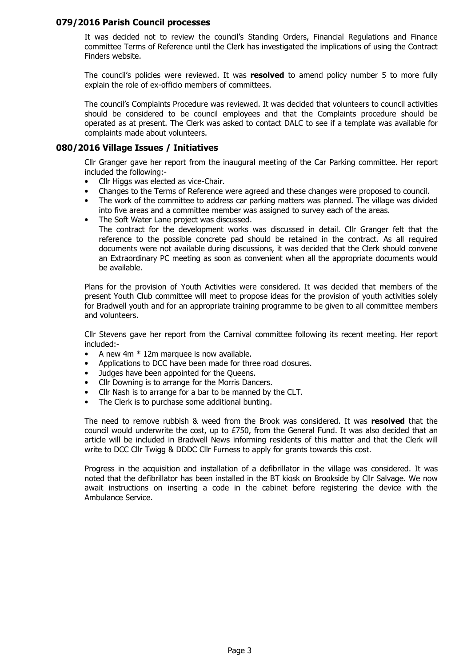#### 079/2016 Parish Council processes

It was decided not to review the council's Standing Orders, Financial Regulations and Finance committee Terms of Reference until the Clerk has investigated the implications of using the Contract Finders website.

The council's policies were reviewed. It was resolved to amend policy number 5 to more fully explain the role of ex-officio members of committees.

The council's Complaints Procedure was reviewed. It was decided that volunteers to council activities should be considered to be council employees and that the Complaints procedure should be operated as at present. The Clerk was asked to contact DALC to see if a template was available for complaints made about volunteers.

## 080/2016 Village Issues / Initiatives

Cllr Granger gave her report from the inaugural meeting of the Car Parking committee. Her report included the following:-

- Cllr Higgs was elected as vice-Chair.
- Changes to the Terms of Reference were agreed and these changes were proposed to council.
- The work of the committee to address car parking matters was planned. The village was divided into five areas and a committee member was assigned to survey each of the areas.
- The Soft Water Lane project was discussed.

The contract for the development works was discussed in detail. Cllr Granger felt that the reference to the possible concrete pad should be retained in the contract. As all required documents were not available during discussions, it was decided that the Clerk should convene an Extraordinary PC meeting as soon as convenient when all the appropriate documents would be available.

Plans for the provision of Youth Activities were considered. It was decided that members of the present Youth Club committee will meet to propose ideas for the provision of youth activities solely for Bradwell youth and for an appropriate training programme to be given to all committee members and volunteers.

Cllr Stevens gave her report from the Carnival committee following its recent meeting. Her report included:-

- A new  $4m * 12m$  marquee is now available.
- Applications to DCC have been made for three road closures.
- Judges have been appointed for the Queens.
- Cllr Downing is to arrange for the Morris Dancers.
- Cllr Nash is to arrange for a bar to be manned by the CLT.
- The Clerk is to purchase some additional bunting.

The need to remove rubbish & weed from the Brook was considered. It was **resolved** that the council would underwrite the cost, up to £750, from the General Fund. It was also decided that an article will be included in Bradwell News informing residents of this matter and that the Clerk will write to DCC Cllr Twigg & DDDC Cllr Furness to apply for grants towards this cost.

Progress in the acquisition and installation of a defibrillator in the village was considered. It was noted that the defibrillator has been installed in the BT kiosk on Brookside by Cllr Salvage. We now await instructions on inserting a code in the cabinet before registering the device with the Ambulance Service.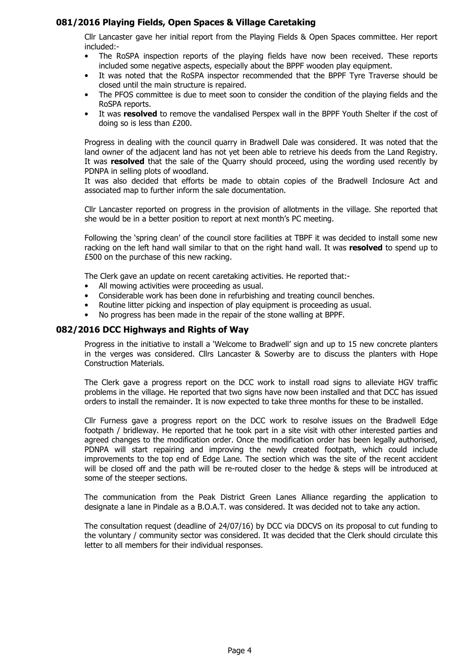## 081/2016 Playing Fields, Open Spaces & Village Caretaking

Cllr Lancaster gave her initial report from the Playing Fields & Open Spaces committee. Her report included:-

- The RoSPA inspection reports of the playing fields have now been received. These reports included some negative aspects, especially about the BPPF wooden play equipment.
- It was noted that the RoSPA inspector recommended that the BPPF Tyre Traverse should be closed until the main structure is repaired.
- The PFOS committee is due to meet soon to consider the condition of the playing fields and the RoSPA reports.
- It was resolved to remove the vandalised Perspex wall in the BPPF Youth Shelter if the cost of doing so is less than £200.

Progress in dealing with the council quarry in Bradwell Dale was considered. It was noted that the land owner of the adjacent land has not yet been able to retrieve his deeds from the Land Registry. It was resolved that the sale of the Quarry should proceed, using the wording used recently by PDNPA in selling plots of woodland.

It was also decided that efforts be made to obtain copies of the Bradwell Inclosure Act and associated map to further inform the sale documentation.

Cllr Lancaster reported on progress in the provision of allotments in the village. She reported that she would be in a better position to report at next month's PC meeting.

Following the 'spring clean' of the council store facilities at TBPF it was decided to install some new racking on the left hand wall similar to that on the right hand wall. It was resolved to spend up to £500 on the purchase of this new racking.

The Clerk gave an update on recent caretaking activities. He reported that:-

- All mowing activities were proceeding as usual.
- Considerable work has been done in refurbishing and treating council benches.
- Routine litter picking and inspection of play equipment is proceeding as usual.
- No progress has been made in the repair of the stone walling at BPPF.

#### 082/2016 DCC Highways and Rights of Way

Progress in the initiative to install a 'Welcome to Bradwell' sign and up to 15 new concrete planters in the verges was considered. Cllrs Lancaster & Sowerby are to discuss the planters with Hope Construction Materials.

The Clerk gave a progress report on the DCC work to install road signs to alleviate HGV traffic problems in the village. He reported that two signs have now been installed and that DCC has issued orders to install the remainder. It is now expected to take three months for these to be installed.

Cllr Furness gave a progress report on the DCC work to resolve issues on the Bradwell Edge footpath / bridleway. He reported that he took part in a site visit with other interested parties and agreed changes to the modification order. Once the modification order has been legally authorised, PDNPA will start repairing and improving the newly created footpath, which could include improvements to the top end of Edge Lane. The section which was the site of the recent accident will be closed off and the path will be re-routed closer to the hedge & steps will be introduced at some of the steeper sections.

The communication from the Peak District Green Lanes Alliance regarding the application to designate a lane in Pindale as a B.O.A.T. was considered. It was decided not to take any action.

The consultation request (deadline of 24/07/16) by DCC via DDCVS on its proposal to cut funding to the voluntary / community sector was considered. It was decided that the Clerk should circulate this letter to all members for their individual responses.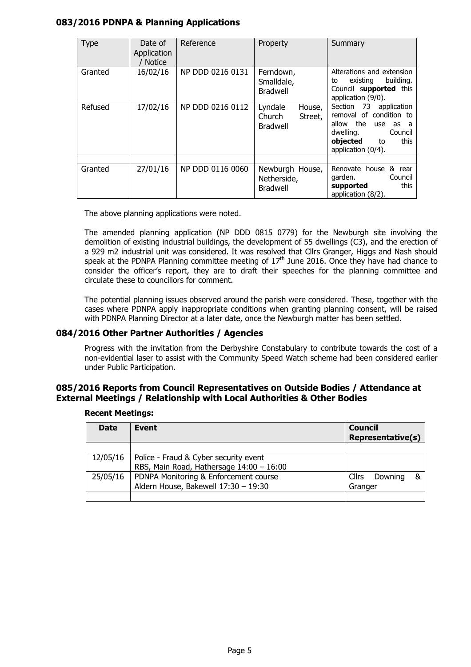## 083/2016 PDNPA & Planning Applications

| Type    | Date of<br>Application<br><b>Notice</b> | Reference        | Property                                                  | Summary                                                                                                                                                          |
|---------|-----------------------------------------|------------------|-----------------------------------------------------------|------------------------------------------------------------------------------------------------------------------------------------------------------------------|
| Granted | 16/02/16                                | NP DDD 0216 0131 | Ferndown,<br>Smalldale,<br><b>Bradwell</b>                | Alterations and extension<br>building.<br>existing<br>to<br>Council supported this<br>application (9/0).                                                         |
| Refused | 17/02/16                                | NP DDD 0216 0112 | Lyndale<br>House,<br>Church<br>Street,<br><b>Bradwell</b> | Section 73<br>application<br>removal of condition to<br>the<br>allow<br>use as<br>a -<br>dwelling.<br>Council<br>objected<br>this<br>to<br>application $(0/4)$ . |
| Granted | 27/01/16                                | NP DDD 0116 0060 | Newburgh House,<br>Netherside,<br><b>Bradwell</b>         | Renovate house<br>& rear<br>garden.<br>Council<br>this<br>supported<br>application (8/2).                                                                        |

The above planning applications were noted.

The amended planning application (NP DDD 0815 0779) for the Newburgh site involving the demolition of existing industrial buildings, the development of 55 dwellings (C3), and the erection of a 929 m2 industrial unit was considered. It was resolved that Cllrs Granger, Higgs and Nash should speak at the PDNPA Planning committee meeting of  $17<sup>th</sup>$  June 2016. Once they have had chance to consider the officer's report, they are to draft their speeches for the planning committee and circulate these to councillors for comment.

The potential planning issues observed around the parish were considered. These, together with the cases where PDNPA apply inappropriate conditions when granting planning consent, will be raised with PDNPA Planning Director at a later date, once the Newburgh matter has been settled.

## 084/2016 Other Partner Authorities / Agencies

Progress with the invitation from the Derbyshire Constabulary to contribute towards the cost of a non-evidential laser to assist with the Community Speed Watch scheme had been considered earlier under Public Participation.

## 085/2016 Reports from Council Representatives on Outside Bodies / Attendance at External Meetings / Relationship with Local Authorities & Other Bodies

| <b>Date</b> | Event                                                                             | <b>Council</b><br><b>Representative(s)</b> |  |
|-------------|-----------------------------------------------------------------------------------|--------------------------------------------|--|
|             |                                                                                   |                                            |  |
| 12/05/16    | Police - Fraud & Cyber security event<br>RBS, Main Road, Hathersage 14:00 - 16:00 |                                            |  |
| 25/05/16    | PDNPA Monitoring & Enforcement course<br>Aldern House, Bakewell 17:30 - 19:30     | Cllrs<br>Downing<br>&<br>Granger           |  |
|             |                                                                                   |                                            |  |

#### Recent Meetings: